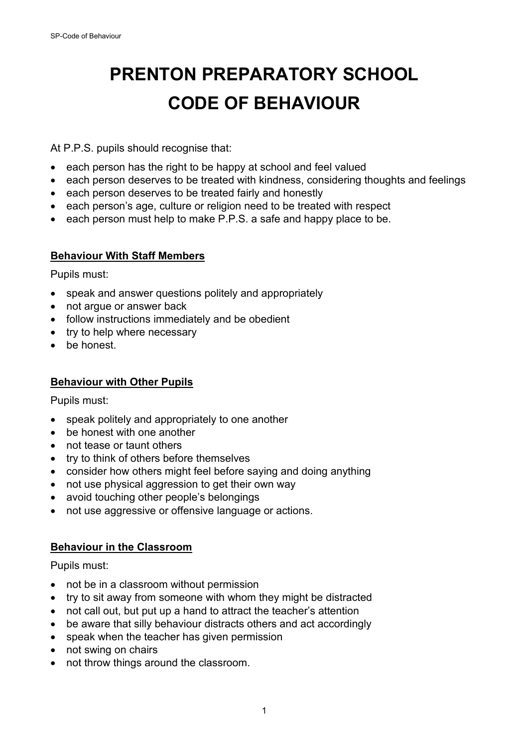# **PRENTON PREPARATORY SCHOOL CODE OF BEHAVIOUR**

At P.P.S. pupils should recognise that:

- each person has the right to be happy at school and feel valued
- each person deserves to be treated with kindness, considering thoughts and feelings
- each person deserves to be treated fairly and honestly
- each person's age, culture or religion need to be treated with respect
- each person must help to make P.P.S. a safe and happy place to be.

## **Behaviour With Staff Members**

Pupils must:

- speak and answer questions politely and appropriately
- not arque or answer back
- follow instructions immediately and be obedient
- try to help where necessary
- be honest.

## **Behaviour with Other Pupils**

Pupils must:

- speak politely and appropriately to one another
- be honest with one another
- not tease or taunt others
- try to think of others before themselves
- consider how others might feel before saying and doing anything
- not use physical aggression to get their own way
- avoid touching other people's belongings
- not use aggressive or offensive language or actions.

## **Behaviour in the Classroom**

Pupils must:

- not be in a classroom without permission
- try to sit away from someone with whom they might be distracted
- not call out, but put up a hand to attract the teacher's attention
- be aware that silly behaviour distracts others and act accordingly
- speak when the teacher has given permission
- not swing on chairs
- not throw things around the classroom.